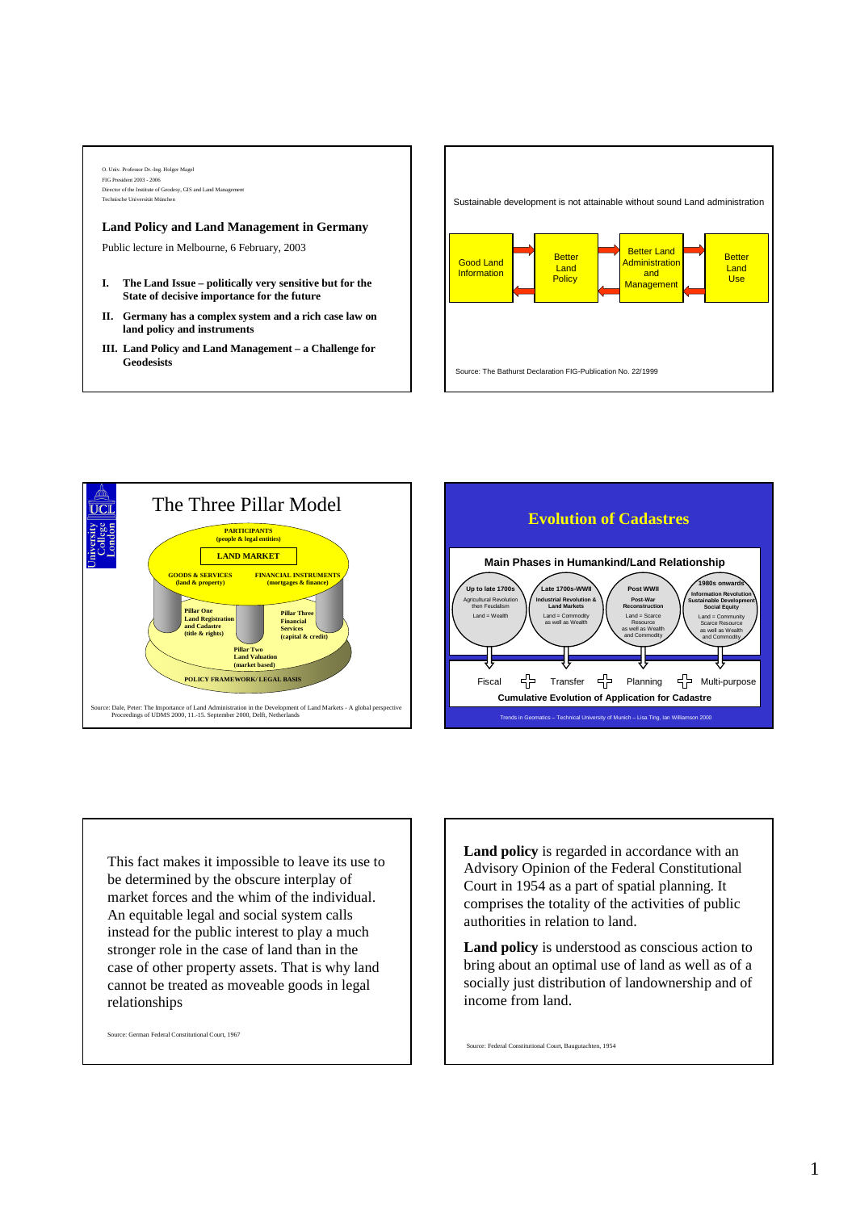## O. Univ. Professor Dr.-Ing. Holger Magel FIG President 2003 - 2006 irector of the Institute of Geodesy, GIS and Land Manage Technische Universität München

## **Land Policy and Land Management in Germany**

Public lecture in Melbourne, 6 February, 2003

- **I. The Land Issue politically very sensitive but for the State of decisive importance for the future**
- **II. Germany has a complex system and a rich case law on land policy and instruments**
- **III. Land Policy and Land Management a Challenge for Geodesists**







This fact makes it impossible to leave its use to be determined by the obscure interplay of market forces and the whim of the individual. An equitable legal and social system calls instead for the public interest to play a much stronger role in the case of land than in the case of other property assets. That is why land cannot be treated as moveable goods in legal relationships

Source: German Federal Constitutional Court, 1967

**Land policy** is regarded in accordance with an Advisory Opinion of the Federal Constitutional Court in 1954 as a part of spatial planning. It comprises the totality of the activities of public authorities in relation to land.

**Land policy** is understood as conscious action to bring about an optimal use of land as well as of a socially just distribution of landownership and of income from land.

Source: Federal Constitutional Court, Baugutachten, 1954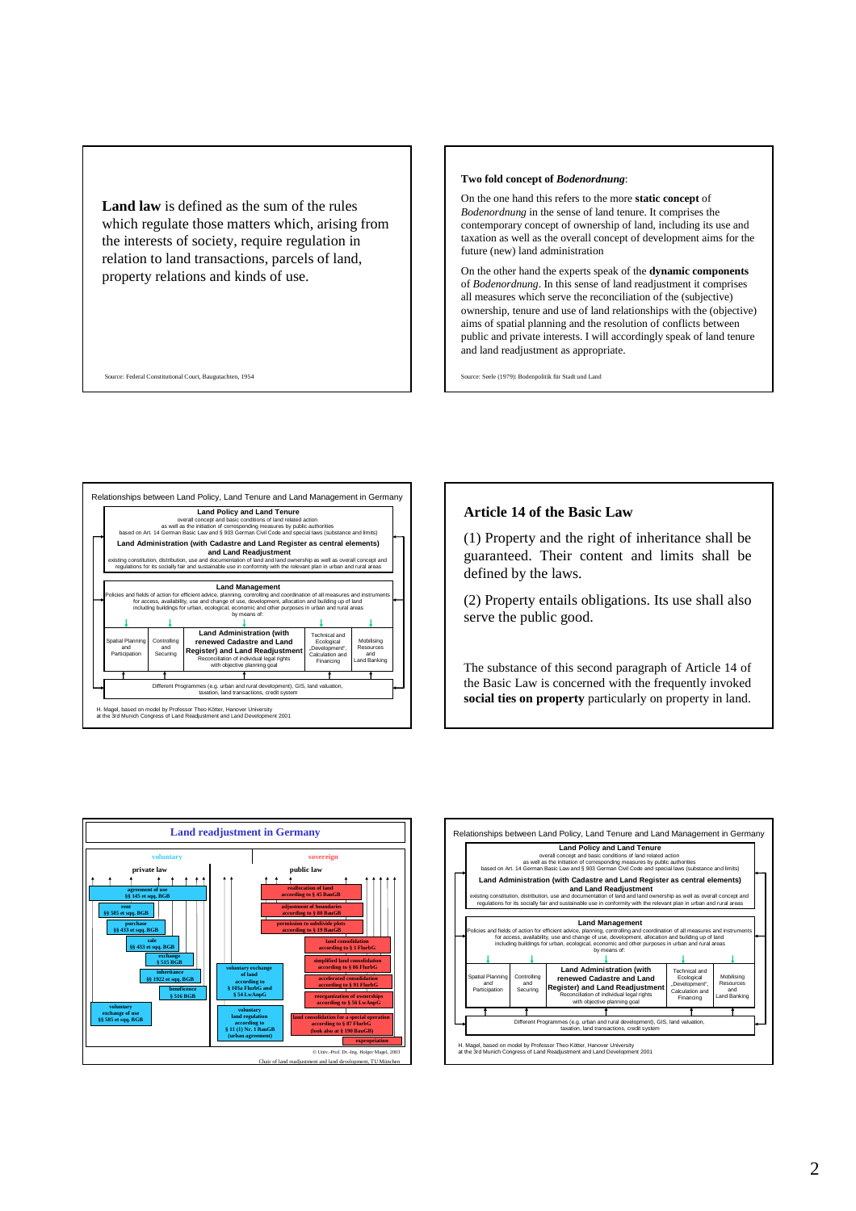**Land law** is defined as the sum of the rules which regulate those matters which, arising from the interests of society, require regulation in relation to land transactions, parcels of land, property relations and kinds of use.

Source: Federal Constitutional Court, Baugutachten, 1954

## **Two fold concept of** *Bodenordnung*:

On the one hand this refers to the more **static concept** of *Bodenordnung* in the sense of land tenure. It comprises the contemporary concept of ownership of land, including its use and taxation as well as the overall concept of development aims for the future (new) land administration

On the other hand the experts speak of the **dynamic components** of *Bodenordnung*. In this sense of land readjustment it comprises all measures which serve the reconciliation of the (subjective) ownership, tenure and use of land relationships with the (objective) aims of spatial planning and the resolution of conflicts between public and private interests. I will accordingly speak of land tenure and land readjustment as appropriate.

urce: Seele (1979): Bodenpolitik für Stadt und Land



## **Article 14 of the Basic Law**

(1) Property and the right of inheritance shall be guaranteed. Their content and limits shall be defined by the laws.

(2) Property entails obligations. Its use shall also serve the public good.

The substance of this second paragraph of Article 14 of the Basic Law is concerned with the frequently invoked **social ties on property** particularly on property in land.